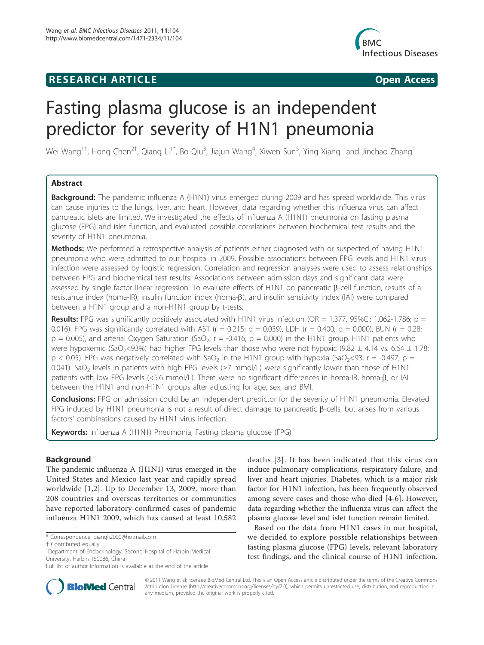## **RESEARCH ARTICLE CONSUMING ACCESS**



# Fasting plasma glucose is an independent predictor for severity of H1N1 pneumonia

Wei Wang<sup>1†</sup>, Hong Chen<sup>2†</sup>, Qiang Li<sup>1\*</sup>, Bo Qiu<sup>3</sup>, Jiajun Wang<sup>4</sup>, Xiwen Sun<sup>5</sup>, Ying Xiang<sup>1</sup> and Jinchao Zhang<sup>1</sup>

## Abstract

Background: The pandemic influenza A (H1N1) virus emerged during 2009 and has spread worldwide. This virus can cause injuries to the lungs, liver, and heart. However, data regarding whether this influenza virus can affect pancreatic islets are limited. We investigated the effects of influenza A (H1N1) pneumonia on fasting plasma glucose (FPG) and islet function, and evaluated possible correlations between biochemical test results and the severity of H1N1 pneumonia.

Methods: We performed a retrospective analysis of patients either diagnosed with or suspected of having H1N1 pneumonia who were admitted to our hospital in 2009. Possible associations between FPG levels and H1N1 virus infection were assessed by logistic regression. Correlation and regression analyses were used to assess relationships between FPG and biochemical test results. Associations between admission days and significant data were assessed by single factor linear regression. To evaluate effects of H1N1 on pancreatic  $\beta$ -cell function, results of a resistance index (homa-IR), insulin function index (homa-β), and insulin sensitivity index (IAI) were compared between a H1N1 group and a non-H1N1 group by t-tests.

**Results:** FPG was significantly positively associated with H1N1 virus infection (OR = 1.377, 95%Cl: 1.062-1.786;  $p =$ 0.016). FPG was significantly correlated with AST ( $r = 0.215$ ;  $p = 0.039$ ), LDH ( $r = 0.400$ ;  $p = 0.000$ ), BUN ( $r = 0.28$ ;  $p = 0.005$ ), and arterial Oxygen Saturation (SaO<sub>2</sub>; r = -0.416; p = 0.000) in the H1N1 group. H1N1 patients who were hypoxemic (SaO<sub>2</sub><93%) had higher FPG levels than those who were not hypoxic (9.82  $\pm$  4.14 vs. 6.64  $\pm$  1.78;  $p < 0.05$ ). FPG was negatively correlated with SaO<sub>2</sub> in the H1N1 group with hypoxia (SaO<sub>2</sub><93; r = -0.497; p = 0.041). SaO<sub>2</sub> levels in patients with high FPG levels ( $\geq$ 7 mmol/L) were significantly lower than those of H1N1 patients with low FPG levels (<5.6 mmol/L). There were no significant differences in homa-IR, homa-B, or IAI between the H1N1 and non-H1N1 groups after adjusting for age, sex, and BMI.

**Conclusions:** FPG on admission could be an independent predictor for the severity of H1N1 pneumonia. Elevated FPG induced by H1N1 pneumonia is not a result of direct damage to pancreatic  $\beta$ -cells, but arises from various factors' combinations caused by H1N1 virus infection.

Keywords: Influenza A (H1N1) Pneumonia, Fasting plasma glucose (FPG)

## Background

The pandemic influenza A (H1N1) virus emerged in the United States and Mexico last year and rapidly spread worldwide [1,2]. Up to December 13, 2009, more than 208 countries and overseas territories or communities have reported laboratory-confirmed cases of pandemic influenza H1N1 2009, which has caused at least 10,582



Based on the data from H1N1 cases in our hospital, we decided to explore possible relationships between fasting plasma glucose (FPG) levels, relevant laboratory test findings, and the clinical course of H1N1 infection.



© 2011 Wang et al; licensee BioMed Central Ltd. This is an Open Access article distributed under the terms of the Creative Commons Attribution License (http://creativecommons.org/licenses/by/2.0), which permits unrestricted use, distribution, and reproduction in any medium, provided the original work is properly cited.

<sup>\*</sup> Correspondence: qiangli2000@hotmail.com

<sup>†</sup> Contributed equally <sup>1</sup>

<sup>&</sup>lt;sup>1</sup>Department of Endocrinology, Second Hospital of Harbin Medical University, Harbin 150086, China

Full list of author information is available at the end of the article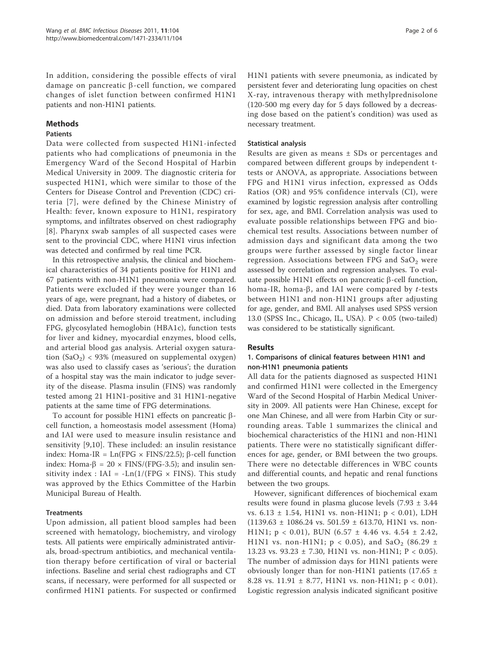In addition, considering the possible effects of viral damage on pancreatic  $\beta$ -cell function, we compared changes of islet function between confirmed H1N1 patients and non-H1N1 patients.

## Methods

## Patients

Data were collected from suspected H1N1-infected patients who had complications of pneumonia in the Emergency Ward of the Second Hospital of Harbin Medical University in 2009. The diagnostic criteria for suspected H1N1, which were similar to those of the Centers for Disease Control and Prevention (CDC) criteria [7], were defined by the Chinese Ministry of Health: fever, known exposure to H1N1, respiratory symptoms, and infiltrates observed on chest radiography [8]. Pharynx swab samples of all suspected cases were sent to the provincial CDC, where H1N1 virus infection was detected and confirmed by real time PCR.

In this retrospective analysis, the clinical and biochemical characteristics of 34 patients positive for H1N1 and 67 patients with non-H1N1 pneumonia were compared. Patients were excluded if they were younger than 16 years of age, were pregnant, had a history of diabetes, or died. Data from laboratory examinations were collected on admission and before steroid treatment, including FPG, glycosylated hemoglobin (HBA1c), function tests for liver and kidney, myocardial enzymes, blood cells, and arterial blood gas analysis. Arterial oxygen saturation  $(SaO<sub>2</sub>)$  < 93% (measured on supplemental oxygen) was also used to classify cases as 'serious'; the duration of a hospital stay was the main indicator to judge severity of the disease. Plasma insulin (FINS) was randomly tested among 21 H1N1-positive and 31 H1N1-negative patients at the same time of FPG determinations.

To account for possible H1N1 effects on pancreatic  $\beta$ cell function, a homeostasis model assessment (Homa) and IAI were used to measure insulin resistance and sensitivity [9,10]. These included: an insulin resistance index: Homa-IR =  $Ln(FPG \times FINS/22.5)$ ;  $\beta$ -cell function index: Homa- $\beta$  = 20  $\times$  FINS/(FPG-3.5); and insulin sensitivity index : IAI =  $-Ln(1/(FPG \times FINS))$ . This study was approved by the Ethics Committee of the Harbin Municipal Bureau of Health.

## **Treatments**

Upon admission, all patient blood samples had been screened with hematology, biochemistry, and virology tests. All patients were empirically administrated antivirals, broad-spectrum antibiotics, and mechanical ventilation therapy before certification of viral or bacterial infections. Baseline and serial chest radiographs and CT scans, if necessary, were performed for all suspected or confirmed H1N1 patients. For suspected or confirmed H1N1 patients with severe pneumonia, as indicated by persistent fever and deteriorating lung opacities on chest X-ray, intravenous therapy with methylprednisolone (120-500 mg every day for 5 days followed by a decreasing dose based on the patient's condition) was used as necessary treatment.

## Statistical analysis

Results are given as means ± SDs or percentages and compared between different groups by independent ttests or ANOVA, as appropriate. Associations between FPG and H1N1 virus infection, expressed as Odds Ratios (OR) and 95% confidence intervals (CI), were examined by logistic regression analysis after controlling for sex, age, and BMI. Correlation analysis was used to evaluate possible relationships between FPG and biochemical test results. Associations between number of admission days and significant data among the two groups were further assessed by single factor linear regression. Associations between FPG and  $SaO<sub>2</sub>$  were assessed by correlation and regression analyses. To evaluate possible H1N1 effects on pancreatic  $\beta$ -cell function, homa-IR, homa- $\beta$ , and IAI were compared by *t*-tests between H1N1 and non-H1N1 groups after adjusting for age, gender, and BMI. All analyses used SPSS version 13.0 (SPSS Inc., Chicago, IL, USA). P < 0.05 (two-tailed) was considered to be statistically significant.

## Results

## 1. Comparisons of clinical features between H1N1 and non-H1N1 pneumonia patients

All data for the patients diagnosed as suspected H1N1 and confirmed H1N1 were collected in the Emergency Ward of the Second Hospital of Harbin Medical University in 2009. All patients were Han Chinese, except for one Man Chinese, and all were from Harbin City or surrounding areas. Table 1 summarizes the clinical and biochemical characteristics of the H1N1 and non-H1N1 patients. There were no statistically significant differences for age, gender, or BMI between the two groups. There were no detectable differences in WBC counts and differential counts, and hepatic and renal functions between the two groups.

However, significant differences of biochemical exam results were found in plasma glucose levels (7.93 ± 3.44 vs. 6.13 ± 1.54, H1N1 vs. non-H1N1; p < 0.01), LDH  $(1139.63 \pm 1086.24 \text{ vs. } 501.59 \pm 613.70, \text{H1N1 vs. non-}$ H1N1;  $p < 0.01$ ), BUN (6.57 ± 4.46 vs. 4.54 ± 2.42, H1N1 vs. non-H1N1;  $p < 0.05$ ), and SaO<sub>2</sub> (86.29 ± 13.23 vs. 93.23 ± 7.30, H1N1 vs. non-H1N1; P < 0.05). The number of admission days for H1N1 patients were obviously longer than for non-H1N1 patients (17.65  $\pm$ 8.28 vs. 11.91  $\pm$  8.77, H1N1 vs. non-H1N1; p < 0.01). Logistic regression analysis indicated significant positive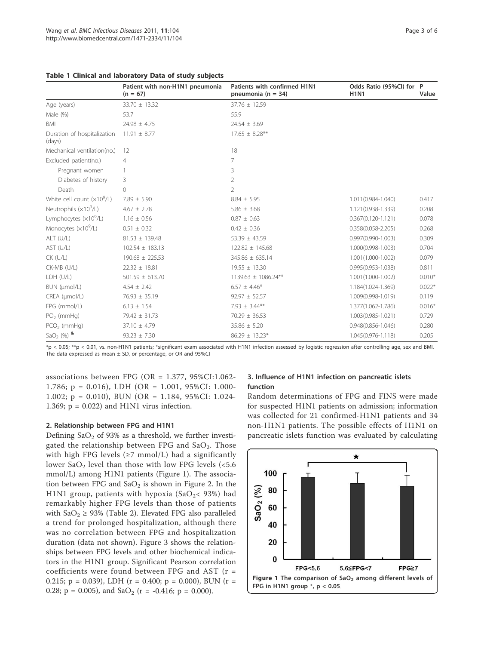|                                       | Patient with non-H1N1 pneumonia<br>$(n = 67)$ | Patients with confirmed H1N1<br>pneumonia ( $n = 34$ ) | Odds Ratio (95%Cl) for P<br><b>H1N1</b> | Value    |
|---------------------------------------|-----------------------------------------------|--------------------------------------------------------|-----------------------------------------|----------|
| Age (years)                           | $33.70 \pm 13.32$                             | $37.76 \pm 12.59$                                      |                                         |          |
| Male (%)                              | 53.7                                          | 55.9                                                   |                                         |          |
| <b>BMI</b>                            | $24.98 \pm 4.75$                              | $24.54 \pm 3.69$                                       |                                         |          |
| Duration of hospitalization<br>(days) | $11.91 \pm 8.77$                              | $17.65 \pm 8.28***$                                    |                                         |          |
| Mechanical ventilation(no.)           | 12                                            | 18                                                     |                                         |          |
| Excluded patient(no.)                 | $\overline{4}$                                | 7                                                      |                                         |          |
| Pregnant women                        |                                               | 3                                                      |                                         |          |
| Diabetes of history                   | 3                                             | $\overline{2}$                                         |                                         |          |
| Death                                 | $\Omega$                                      | $\overline{2}$                                         |                                         |          |
| White cell count $(x10^9/L)$          | $7.89 \pm 5.90$                               | $8.84 \pm 5.95$                                        | 1.011(0.984-1.040)                      | 0.417    |
| Neutrophils $(x10^9/L)$               | $4.67 \pm 2.78$                               | $5.86 \pm 3.68$                                        | 1.121(0.938-1.339)                      | 0.208    |
| Lymphocytes (x10 <sup>9</sup> /L)     | $1.16 \pm 0.56$                               | $0.87 \pm 0.63$                                        | $0.367(0.120 - 1.121)$                  | 0.078    |
| Monocytes $(x10^9/L)$                 | $0.51 \pm 0.32$                               | $0.42 \pm 0.36$                                        | $0.358(0.058 - 2.205)$                  | 0.268    |
| ALT (U/L)                             | $81.53 \pm 139.48$                            | 53.39 $\pm$ 43.59                                      | $0.997(0.990 - 1.003)$                  | 0.309    |
| AST (U/L)                             | $102.54 \pm 183.13$                           | 122.82 ± 145.68                                        | 1.000(0.998-1.003)                      | 0.704    |
| $CK$ (U/L)                            | $190.68 \pm 225.53$                           | $345.86 \pm 635.14$                                    | 1.001(1.000-1.002)                      | 0.079    |
| CK-MB (U/L)                           | $22.32 \pm 18.81$                             | $19.55 \pm 13.30$                                      | $0.995(0.953 - 1.038)$                  | 0.811    |
| LDH (U/L)                             | $501.59 \pm 613.70$                           | 1139.63 ± 1086.24**                                    | 1.001(1.000-1.002)                      | $0.010*$ |
| BUN (µmol/L)                          | $4.54 \pm 2.42$                               | $6.57 \pm 4.46*$                                       | 1.184(1.024-1.369)                      | $0.022*$ |
| CREA (µmol/L)                         | $76.93 \pm 35.19$                             | $92.97 \pm 52.57$                                      | 1.009(0.998-1.019)                      | 0.119    |
| FPG (mmol/L)                          | $6.13 \pm 1.54$                               | 7.93 $\pm$ 3.44**                                      | 1.377(1.062-1.786)                      | $0.016*$ |
| $PO2$ (mmHg)                          | $79.42 \pm 31.73$                             | $70.29 \pm 36.53$                                      | 1.003(0.985-1.021)                      | 0.729    |
| $PCO2$ (mmHg)                         | $37.10 \pm 4.79$                              | $35.86 \pm 5.20$                                       | $0.948(0.856 - 1.046)$                  | 0.280    |
| $SaO2$ (%) &                          | $93.23 \pm 7.30$                              | $86.29 \pm 13.23*$                                     | 1.045(0.976-1.118)                      | 0.205    |

| Table 1 Clinical and laboratory Data of study subjects |  |
|--------------------------------------------------------|--|
|--------------------------------------------------------|--|

\*p < 0.05; \*\*p < 0.01, vs. non-H1N1 patients; \*significant exam associated with H1N1 infection assessed by logistic regression after controlling age, sex and BMI. The data expressed as mean  $\pm$  SD, or percentage, or OR and 95%CI

associations between FPG (OR = 1.377, 95%CI:1.062- 1.786; p = 0.016), LDH (OR = 1.001, 95%CI: 1.000- 1.002; p = 0.010), BUN (OR = 1.184, 95%CI: 1.024- 1.369;  $p = 0.022$ ) and H1N1 virus infection.

#### 2. Relationship between FPG and H1N1

Defining  $SaO<sub>2</sub>$  of 93% as a threshold, we further investigated the relationship between FPG and  $SaO<sub>2</sub>$ . Those with high FPG levels ( $\geq$ 7 mmol/L) had a significantly lower  $SaO<sub>2</sub>$  level than those with low FPG levels (<5.6) mmol/L) among H1N1 patients (Figure 1). The association between FPG and  $SaO<sub>2</sub>$  is shown in Figure 2. In the H1N1 group, patients with hypoxia (SaO<sub>2</sub>< 93%) had remarkably higher FPG levels than those of patients with  $SaO_2 \geq 93\%$  (Table 2). Elevated FPG also paralleled a trend for prolonged hospitalization, although there was no correlation between FPG and hospitalization duration (data not shown). Figure 3 shows the relationships between FPG levels and other biochemical indicators in the H1N1 group. Significant Pearson correlation coefficients were found between FPG and AST (r = 0.215; p = 0.039), LDH ( $r = 0.400$ ; p = 0.000), BUN ( $r =$ 0.28;  $p = 0.005$ ), and  $SaO<sub>2</sub>$  ( $r = -0.416$ ;  $p = 0.000$ ).

## 3. Influence of H1N1 infection on pancreatic islets function

Random determinations of FPG and FINS were made for suspected H1N1 patients on admission; information was collected for 21 confirmed-H1N1 patients and 34 non-H1N1 patients. The possible effects of H1N1 on pancreatic islets function was evaluated by calculating

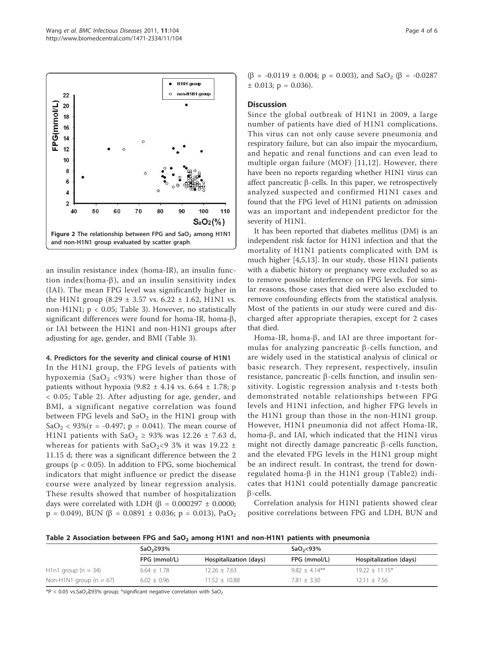

an insulin resistance index (homa-IR), an insulin function index(homa- $\beta$ ), and an insulin sensitivity index (IAI). The mean FPG level was significantly higher in the H1N1 group  $(8.29 \pm 3.57 \text{ vs. } 6.22 \pm 1.62, \text{H1N1 vs. }$ non-H1N1; p < 0.05; Table 3). However, no statistically significant differences were found for homa-IR, homa- $\beta$ , or IAI between the H1N1 and non-H1N1 groups after adjusting for age, gender, and BMI (Table 3).

#### 4. Predictors for the severity and clinical course of H1N1

In the H1N1 group, the FPG levels of patients with hypoxemia (SaO<sub>2</sub> <93%) were higher than those of patients without hypoxia  $(9.82 \pm 4.14 \text{ vs. } 6.64 \pm 1.78; \text{ p})$ < 0.05; Table 2). After adjusting for age, gender, and BMI, a significant negative correlation was found between FPG levels and  $SaO<sub>2</sub>$  in the H1N1 group with SaO<sub>2</sub> < 93%(r = -0.497; p = 0.041). The mean course of H1N1 patients with  $SaO<sub>2</sub> \ge 93\%$  was 12.26  $\pm$  7.63 d, whereas for patients with  $SaO_2$ <9 3% it was 19.22  $\pm$ 11.15 d; there was a significant difference between the 2 groups ( $p < 0.05$ ). In addition to FPG, some biochemical indicators that might influence or predict the disease course were analyzed by linear regression analysis. These results showed that number of hospitalization days were correlated with LDH ( $\beta$  = 0.000297  $\pm$  0.0000;  $p = 0.049$ , BUN ( $\beta = 0.0891 \pm 0.036$ ;  $p = 0.013$ ), PaO<sub>2</sub>

 $(\beta = -0.0119 \pm 0.004; \, p = 0.003)$ , and SaO<sub>2</sub> ( $\beta = -0.0287$ )  $\pm$  0.013; p = 0.036).

#### **Discussion**

Since the global outbreak of H1N1 in 2009, a large number of patients have died of H1N1 complications. This virus can not only cause severe pneumonia and respiratory failure, but can also impair the myocardium, and hepatic and renal functions and can even lead to multiple organ failure (MOF) [11,12]. However, there have been no reports regarding whether H1N1 virus can affect pancreatic  $\beta$ -cells. In this paper, we retrospectively analyzed suspected and confirmed H1N1 cases and found that the FPG level of H1N1 patients on admission was an important and independent predictor for the severity of H1N1.

It has been reported that diabetes mellitus (DM) is an independent risk factor for H1N1 infection and that the mortality of H1N1 patients complicated with DM is much higher [4,5,13]. In our study, those H1N1 patients with a diabetic history or pregnancy were excluded so as to remove possible interference on FPG levels. For similar reasons, those cases that died were also excluded to remove confounding effects from the statistical analysis. Most of the patients in our study were cured and discharged after appropriate therapies, except for 2 cases that died.

Homa-IR, homa- $\beta$ , and IAI are three important formulas for analyzing pancreatic  $\beta$ -cells function, and are widely used in the statistical analysis of clinical or basic research. They represent, respectively, insulin resistance, pancreatic  $\beta$ -cells function, and insulin sensitivity. Logistic regression analysis and t-tests both demonstrated notable relationships between FPG levels and H1N1 infection, and higher FPG levels in the H1N1 group than those in the non-H1N1 group. However, H1N1 pneumonia did not affect Homa-IR, homa- $\beta$ , and IAI, which indicated that the H1N1 virus might not directly damage pancreatic  $\beta$ -cells function, and the elevated FPG levels in the H1N1 group might be an indirect result. In contrast, the trend for downregulated homa- $\beta$  in the H1N1 group (Table2) indicates that H1N1 could potentially damage pancreatic  $\beta$ -cells.

Correlation analysis for H1N1 patients showed clear positive correlations between FPG and LDH, BUN and

Table 2 Association between FPG and  $SaO<sub>2</sub>$  among H1N1 and non-H1N1 patients with pneumonia

|                                                  | $SaO2 \geq 93\%$ |                        | $SaO2<$ 93%      |                        |
|--------------------------------------------------|------------------|------------------------|------------------|------------------------|
|                                                  | FPG (mmol/L)     | Hospitalization (days) | FPG (mmol/L)     | Hospitalization (days) |
| H <sub>1</sub> n <sub>1</sub> group ( $n = 34$ ) | $6.64 \pm 1.78$  | $12.26 \pm 7.63$       | $9.82 + 4.14***$ | $19.22 + 11.15*$       |
| Non-H1N1 group ( $n = 67$ )                      | $6.02 \pm 0.96$  | $11.52 + 10.88$        | $7.81 + 3.30$    | $12.11 + 7.56$         |

 $*P < 0.05$  vs.SaO<sub>2</sub>≧93% group; \*significant negative correlation with SaO<sub>2</sub>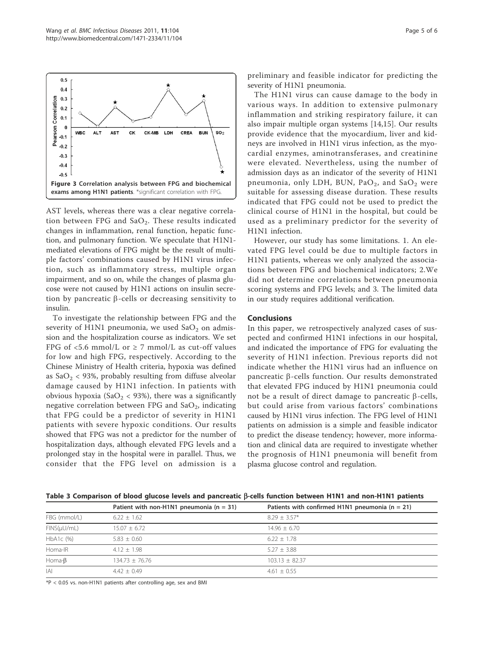

AST levels, whereas there was a clear negative correlation between FPG and  $SaO<sub>2</sub>$ . These results indicated changes in inflammation, renal function, hepatic function, and pulmonary function. We speculate that H1N1 mediated elevations of FPG might be the result of multiple factors' combinations caused by H1N1 virus infection, such as inflammatory stress, multiple organ impairment, and so on, while the changes of plasma glucose were not caused by H1N1 actions on insulin secretion by pancreatic  $\beta$ -cells or decreasing sensitivity to insulin.

To investigate the relationship between FPG and the severity of H1N1 pneumonia, we used  $SaO<sub>2</sub>$  on admission and the hospitalization course as indicators. We set FPG of <5.6 mmol/L or  $\geq$  7 mmol/L as cut-off values for low and high FPG, respectively. According to the Chinese Ministry of Health criteria, hypoxia was defined as  $SaO<sub>2</sub> < 93%$ , probably resulting from diffuse alveolar damage caused by H1N1 infection. In patients with obvious hypoxia (SaO<sub>2</sub> < 93%), there was a significantly negative correlation between FPG and  $SaO<sub>2</sub>$ , indicating that FPG could be a predictor of severity in H1N1 patients with severe hypoxic conditions. Our results showed that FPG was not a predictor for the number of hospitalization days, although elevated FPG levels and a prolonged stay in the hospital were in parallel. Thus, we consider that the FPG level on admission is a

preliminary and feasible indicator for predicting the severity of H1N1 pneumonia.

The H1N1 virus can cause damage to the body in various ways. In addition to extensive pulmonary inflammation and striking respiratory failure, it can also impair multiple organ systems [14,15]. Our results provide evidence that the myocardium, liver and kidneys are involved in H1N1 virus infection, as the myocardial enzymes, aminotransferases, and creatinine were elevated. Nevertheless, using the number of admission days as an indicator of the severity of H1N1 pneumonia, only LDH, BUN, Pa $O_2$ , and Sa $O_2$  were suitable for assessing disease duration. These results indicated that FPG could not be used to predict the clinical course of H1N1 in the hospital, but could be used as a preliminary predictor for the severity of H1N1 infection.

However, our study has some limitations. 1. An elevated FPG level could be due to multiple factors in H1N1 patients, whereas we only analyzed the associations between FPG and biochemical indicators; 2.We did not determine correlations between pneumonia scoring systems and FPG levels; and 3. The limited data in our study requires additional verification.

#### Conclusions

In this paper, we retrospectively analyzed cases of suspected and confirmed H1N1 infections in our hospital, and indicated the importance of FPG for evaluating the severity of H1N1 infection. Previous reports did not indicate whether the H1N1 virus had an influence on pancreatic  $\beta$ -cells function. Our results demonstrated that elevated FPG induced by H1N1 pneumonia could not be a result of direct damage to pancreatic  $\beta$ -cells, but could arise from various factors' combinations caused by H1N1 virus infection. The FPG level of H1N1 patients on admission is a simple and feasible indicator to predict the disease tendency; however, more information and clinical data are required to investigate whether the prognosis of H1N1 pneumonia will benefit from plasma glucose control and regulation.

Table 3 Comparison of blood glucose levels and pancreatic  $\beta$ -cells function between H1N1 and non-H1N1 patients

|                  | Patient with non-H1N1 pneumonia ( $n = 31$ ) | Patients with confirmed H1N1 pneumonia ( $n = 21$ ) |
|------------------|----------------------------------------------|-----------------------------------------------------|
| FBG (mmol/L)     | $6.22 \pm 1.62$                              | $8.29 + 3.57*$                                      |
| $FINS(\mu U/mL)$ | $15.07 + 6.72$                               | $14.96 + 6.70$                                      |
| $HbA1c$ (%)      | $5.83 + 0.60$                                | $6.22 + 1.78$                                       |
| Homa-IR          | $4.12 + 1.98$                                | $5.27 + 3.88$                                       |
| Homa- $\beta$    | $134.73 \pm 76.76$                           | $103.13 \pm 82.37$                                  |
| A                | $4.42 + 0.49$                                | $4.61 + 0.55$                                       |

 $*P < 0.05$  vs. non-H1N1 patients after controlling age, sex and BMI